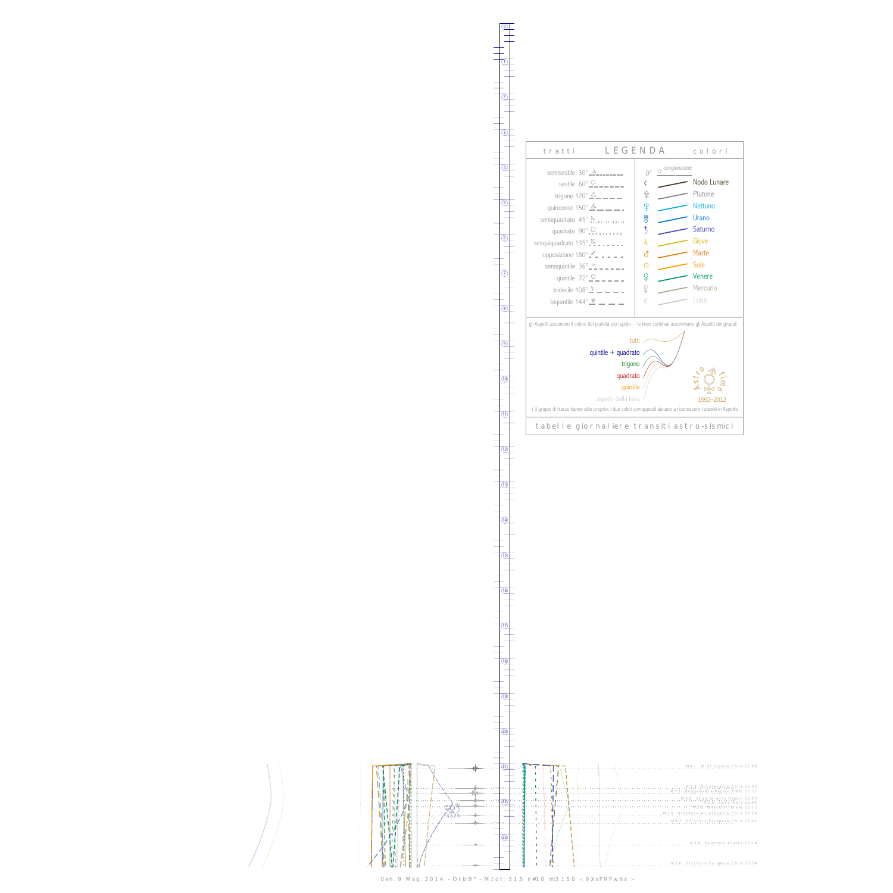